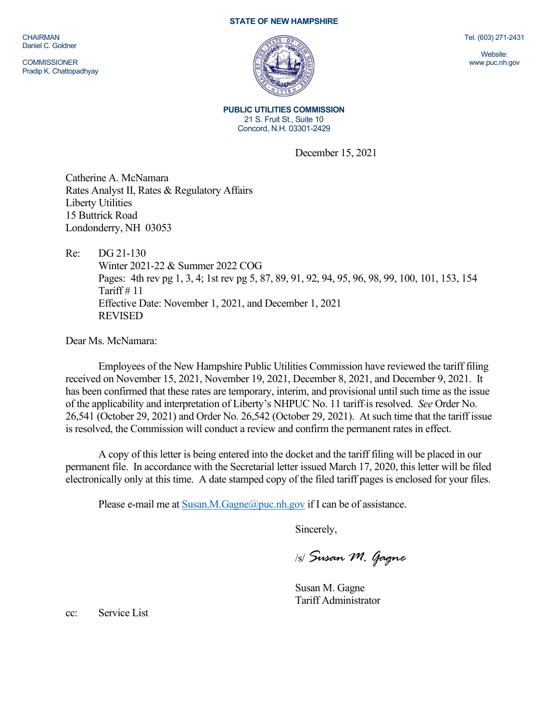CHAIRMAN Daniel C. Goldner

**COMMISSIONER** Pradip K. Chattopadhyay

## STATE OF NEW HAMPSHIRE



Tel. (603) 271-2431

Website: www.puc.nh.gov

PUBLIC UTILITIES COMMISSION 21 S. Fruit St., Suite 10 Concord, N.H. 03301-2429

December 15, 2021

Catherine A. McNamara Rates Analyst II, Rates & Regulatory Affairs Liberty Utilities 15 Buttrick Road Londonderry, NH 03053

Re: DG 21-130

Winter 2021-22 & Summer 2022 COG Pages: 4th rev pg 1, 3, 4; 1st rev pg 5, 87, 89, 91, 92, 94, 95, 96, 98, 99, 100, 101, 153, 154 Tariff  $# 11$ Effective Date: November 1, 2021, and December 1, 2021 REVISED

Dear Ms. McNamara:

Employees of the New Hampshire Public Utilities Commission have reviewed the tariff filing received on November 15, 2021, November 19, 2021, December 8, 2021, and December 9, 2021. It has been confirmed that these rates are temporary, interim, and provisional until such time as the issue of the applicability and interpretation of Liberty's NHPUC No. 11 tariff is resolved. See Order No. 26,541 (October 29, 2021) and Order No. 26,542 (October 29, 2021). At such time that the tariff issue is resolved, the Commission will conduct a review and confirm the permanent rates in effect.

A copy of this letter is being entered into the docket and the tariff filing will be placed in our permanent file. In accordance with the Secretarial letter issued March 17, 2020, this letter will be filed electronically only at this time. A date stamped copy of the filed tariff pages is enclosed for your files.

Please e-mail me at Susan.M.Gagne@puc.nh.gov if I can be of assistance.

Sincerely,

/s/ Susan M. Gagne

Susan M. Gagne Tariff Administrator

cc: Service List